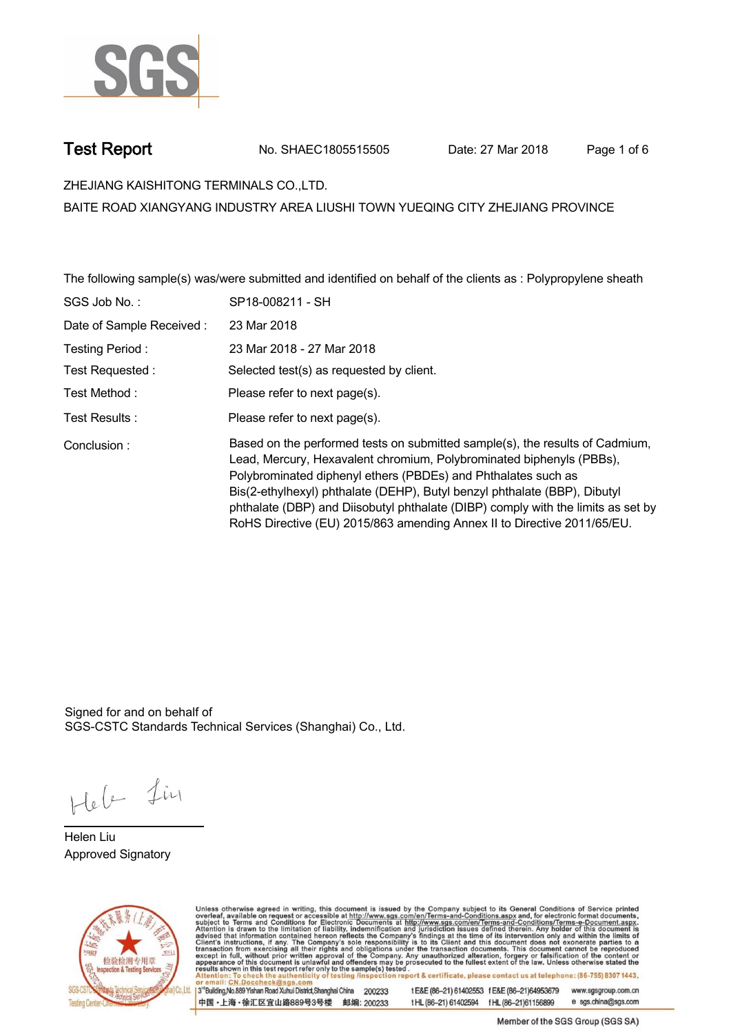

**Test Report. No. SHAEC1805515505 Date: 27 Mar 2018 . Page 1 of 6.**

**ZHEJIANG KAISHITONG TERMINALS CO.,LTD. .**

**BAITE ROAD XIANGYANG INDUSTRY AREA LIUSHI TOWN YUEQING CITY ZHEJIANG PROVINCE**

**The following sample(s) was/were submitted and identified on behalf of the clients as : Polypropylene sheath .**

| SGS Job No.:             | SP18-008211 - SH                                                                                                                                                                                                                                                                                                                                                                                                                                                  |
|--------------------------|-------------------------------------------------------------------------------------------------------------------------------------------------------------------------------------------------------------------------------------------------------------------------------------------------------------------------------------------------------------------------------------------------------------------------------------------------------------------|
| Date of Sample Received: | 23 Mar 2018                                                                                                                                                                                                                                                                                                                                                                                                                                                       |
| Testing Period:          | 23 Mar 2018 - 27 Mar 2018                                                                                                                                                                                                                                                                                                                                                                                                                                         |
| Test Requested:          | Selected test(s) as requested by client.                                                                                                                                                                                                                                                                                                                                                                                                                          |
| Test Method:             | Please refer to next page(s).                                                                                                                                                                                                                                                                                                                                                                                                                                     |
| Test Results:            | Please refer to next page(s).                                                                                                                                                                                                                                                                                                                                                                                                                                     |
| Conclusion:              | Based on the performed tests on submitted sample(s), the results of Cadmium,<br>Lead, Mercury, Hexavalent chromium, Polybrominated biphenyls (PBBs),<br>Polybrominated diphenyl ethers (PBDEs) and Phthalates such as<br>Bis(2-ethylhexyl) phthalate (DEHP), Butyl benzyl phthalate (BBP), Dibutyl<br>phthalate (DBP) and Diisobutyl phthalate (DIBP) comply with the limits as set by<br>RoHS Directive (EU) 2015/863 amending Annex II to Directive 2011/65/EU. |

Signed for and on behalf of SGS-CSTC Standards Technical Services (Shanghai) Co., Ltd..

Heb Lin

**Helen Liu. Approved Signatory .**



Unless otherwise agreed in writing, this document is issued by the Company subject to its General Conditions of Service printed<br>overleaf, available on request or accessible at http://www.sgs.com/en/Terms-and-Conditions.asp

3<sup>rd</sup>Building, No.889 Yishan Road Xuhui District, Shanghai China 200233 中国·上海·徐汇区宜山路889号3号楼 邮编: 200233

tE&E (86-21) 61402553 fE&E (86-21)64953679 www.sgsgroup.com.cn tHL (86-21) 61402594 fHL (86-21) 61156899 e sgs.china@sgs.com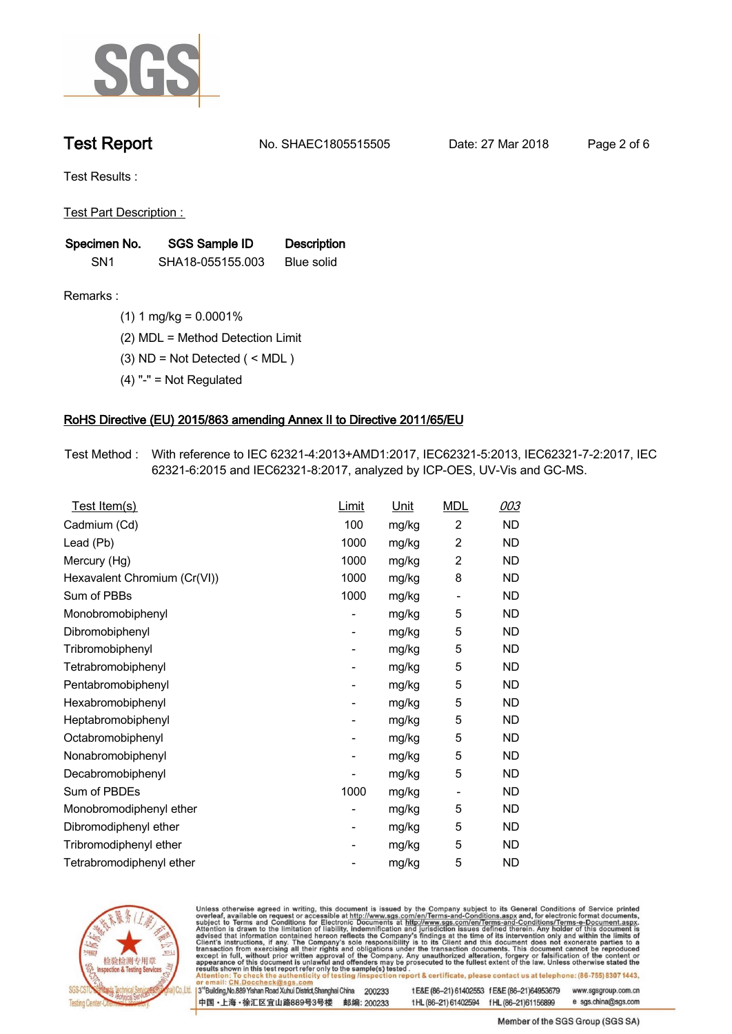

**Test Report. No. SHAEC1805515505 Date: 27 Mar 2018 . Page 2 of 6.**

**Test Results :.**

**Test Part Description : .**

| Specimen No.    | SGS Sample ID    | <b>Description</b> |  |
|-----------------|------------------|--------------------|--|
| SN <sub>1</sub> | SHA18-055155.003 | Blue solid         |  |

**Remarks :.(1) 1 mg/kg = 0.0001% .**

**(2) MDL = Method Detection Limit .**

**(3) ND = Not Detected ( < MDL ) .**

**(4) "-" = Not Regulated .**

## **RoHS Directive (EU) 2015/863 amending Annex II to Directive 2011/65/EU.**

**Test Method :. With reference to IEC 62321-4:2013+AMD1:2017, IEC62321-5:2013, IEC62321-7-2:2017, IEC 62321-6:2015 and IEC62321-8:2017, analyzed by ICP-OES, UV-Vis and GC-MS. .**

| <u>Test Item(s)</u>          | <u>Limit</u>             | <u>Unit</u> | <b>MDL</b>               | 003       |
|------------------------------|--------------------------|-------------|--------------------------|-----------|
| Cadmium (Cd)                 | 100                      | mg/kg       | $\overline{c}$           | <b>ND</b> |
| Lead (Pb)                    | 1000                     | mg/kg       | 2                        | <b>ND</b> |
| Mercury (Hg)                 | 1000                     | mg/kg       | 2                        | ND        |
| Hexavalent Chromium (Cr(VI)) | 1000                     | mg/kg       | 8                        | ND        |
| Sum of PBBs                  | 1000                     | mg/kg       | $\overline{\phantom{a}}$ | <b>ND</b> |
| Monobromobiphenyl            | -                        | mg/kg       | 5                        | <b>ND</b> |
| Dibromobiphenyl              | $\overline{\phantom{0}}$ | mg/kg       | 5                        | <b>ND</b> |
| Tribromobiphenyl             | $\overline{\phantom{0}}$ | mg/kg       | 5                        | <b>ND</b> |
| Tetrabromobiphenyl           | -                        | mg/kg       | 5                        | ND        |
| Pentabromobiphenyl           | $\overline{\phantom{0}}$ | mg/kg       | 5                        | ND        |
| Hexabromobiphenyl            | -                        | mg/kg       | 5                        | ND        |
| Heptabromobiphenyl           | $\overline{\phantom{a}}$ | mg/kg       | 5                        | <b>ND</b> |
| Octabromobiphenyl            | -                        | mg/kg       | 5                        | <b>ND</b> |
| Nonabromobiphenyl            | -                        | mg/kg       | 5                        | ND        |
| Decabromobiphenyl            | $\overline{a}$           | mg/kg       | 5                        | <b>ND</b> |
| Sum of PBDEs                 | 1000                     | mg/kg       | $\overline{\phantom{a}}$ | <b>ND</b> |
| Monobromodiphenyl ether      | -                        | mg/kg       | 5                        | ND        |
| Dibromodiphenyl ether        | ۰                        | mg/kg       | 5                        | <b>ND</b> |
| Tribromodiphenyl ether       | -                        | mg/kg       | 5                        | ND        |
| Tetrabromodiphenyl ether     |                          | mg/kg       | 5                        | <b>ND</b> |



Unless otherwise agreed in writing, this document is issued by the Company subject to its General Conditions of Service printed overleaf, available on request or accessible at http://www.sgs.com/en/Terms-and-Conditions.asp

3<sup>rd</sup>Building, No.889 Yishan Road Xuhui District, Shanghai China 200233 中国·上海·徐汇区宜山路889号3号楼 邮编: 200233 t E&E (86-21) 61402553 f E&E (86-21)64953679 www.sgsgroup.com.cn

t HL (86-21) 61402594 f HL (86-21) 61156899 e sgs.china@sgs.com Member of the SGS Group (SGS SA)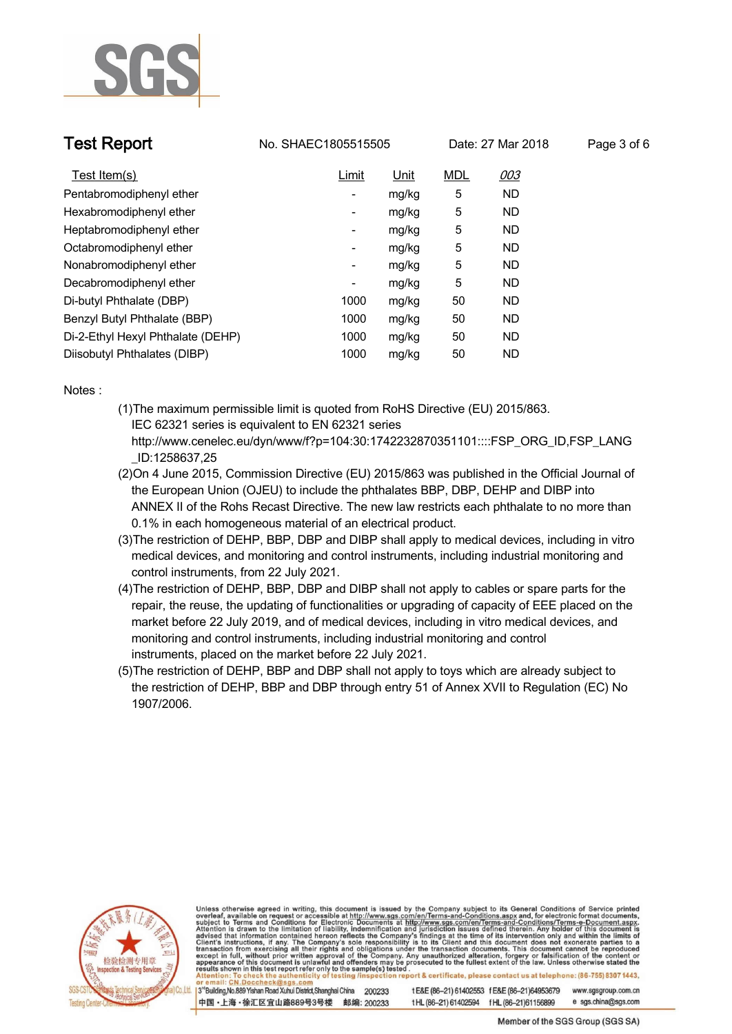

**Test Report No. SHAEC1805515505** Date: 27 Mar 2018

| Page 3 of 6 |  |  |
|-------------|--|--|
|             |  |  |

| Test Item(s)                      | Limit                    | Unit  | <b>MDL</b> | 003       |
|-----------------------------------|--------------------------|-------|------------|-----------|
| Pentabromodiphenyl ether          | $\overline{\phantom{a}}$ | mg/kg | 5          | <b>ND</b> |
| Hexabromodiphenyl ether           | -                        | mg/kg | 5          | <b>ND</b> |
| Heptabromodiphenyl ether          | ٠                        | mg/kg | 5          | <b>ND</b> |
| Octabromodiphenyl ether           | -                        | mg/kg | 5          | <b>ND</b> |
| Nonabromodiphenyl ether           | ٠                        | mg/kg | 5          | <b>ND</b> |
| Decabromodiphenyl ether           | ٠                        | mg/kg | 5          | <b>ND</b> |
| Di-butyl Phthalate (DBP)          | 1000                     | mg/kg | 50         | <b>ND</b> |
| Benzyl Butyl Phthalate (BBP)      | 1000                     | mg/kg | 50         | <b>ND</b> |
| Di-2-Ethyl Hexyl Phthalate (DEHP) | 1000                     | mg/kg | 50         | <b>ND</b> |
| Diisobutyl Phthalates (DIBP)      | 1000                     | mg/kg | 50         | <b>ND</b> |

**Notes :.**

- **(1)The maximum permissible limit is quoted from RoHS Directive (EU) 2015/863. IEC 62321 series is equivalent to EN 62321 series http://www.cenelec.eu/dyn/www/f?p=104:30:1742232870351101::::FSP\_ORG\_ID,FSP\_LANG**
	- **\_ID:1258637,25**
- **(2)On 4 June 2015, Commission Directive (EU) 2015/863 was published in the Official Journal of the European Union (OJEU) to include the phthalates BBP, DBP, DEHP and DIBP into ANNEX II of the Rohs Recast Directive. The new law restricts each phthalate to no more than 0.1% in each homogeneous material of an electrical product.**
- **(3)The restriction of DEHP, BBP, DBP and DIBP shall apply to medical devices, including in vitro medical devices, and monitoring and control instruments, including industrial monitoring and control instruments, from 22 July 2021.**
- **(4)The restriction of DEHP, BBP, DBP and DIBP shall not apply to cables or spare parts for the repair, the reuse, the updating of functionalities or upgrading of capacity of EEE placed on the market before 22 July 2019, and of medical devices, including in vitro medical devices, and monitoring and control instruments, including industrial monitoring and control instruments, placed on the market before 22 July 2021.**
- **(5)The restriction of DEHP, BBP and DBP shall not apply to toys which are already subject to the restriction of DEHP, BBP and DBP through entry 51 of Annex XVII to Regulation (EC) No 1907/2006..**



Unless otherwise agreed in writing, this document is issued by the Company subject to its General Conditions of Service printed overleaf, available on request or accessible at http://www.sgs.com/en/Terms-and-Conditions.asp results shown in this test report refer only to the sample(s) tested on report & certificate, please contact us at telephone: (86-755) 8307 1443, esting /ins

3<sup>rd</sup>Building, No.889 Yishan Road Xuhui District, Shanghai China 200233 中国·上海·徐汇区宜山路889号3号楼 邮编: 200233 tE&E (86-21) 61402553 fE&E (86-21)64953679 www.sgsgroup.com.cn e sgs.china@sgs.com tHL (86-21) 61402594 fHL (86-21) 61156899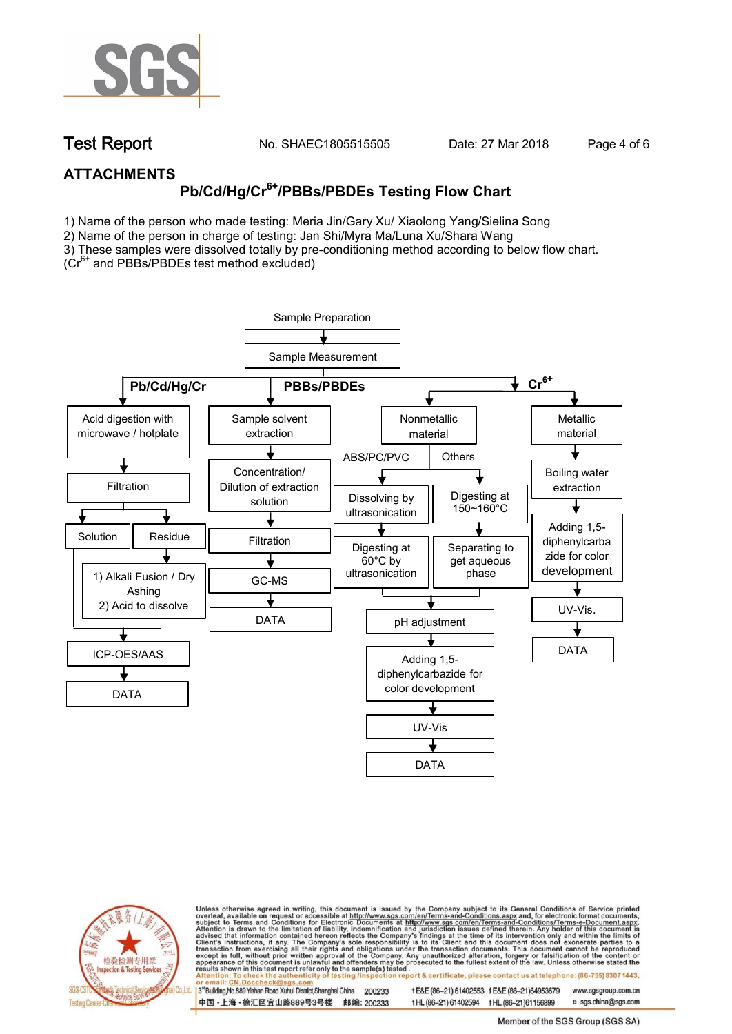

**Test Report. No. SHAEC1805515505 Date: 27 Mar 2018 . Page 4 of 6.**

## **ATTACHMENTS**

# **Pb/Cd/Hg/Cr6+/PBBs/PBDEs Testing Flow Chart**

1) Name of the person who made testing: Meria Jin/Gary Xu/ Xiaolong Yang/Sielina Song

2) Name of the person in charge of testing: Jan Shi/Myra Ma/Luna Xu/Shara Wang

3) These samples were dissolved totally by pre-conditioning method according to below flow chart.

( $Cr<sup>6+</sup>$  and PBBs/PBDEs test method excluded)





Unless otherwise agreed in writing, this document is issued by the Company subject to its General Conditions of Service printed overleaf, available on request or accessible at http://www.sgs.com/en/Terms-and-Conditions.asp ion report & certificate, please contact us at telephone: (86-755) 8307 1443, esting/ins

13<sup>rd</sup> Building, No.889 Yishan Road Xuhui District, Shanghai China 200233 中国·上海·徐汇区宜山路889号3号楼 邮编: 200233 t E&E (86-21) 61402553 f E&E (86-21)64953679 www.sgsgroup.com.cn

t HL (86-21) 61402594 f HL (86-21)61156899 e sgs.china@sgs.com Member of the SGS Group (SGS SA)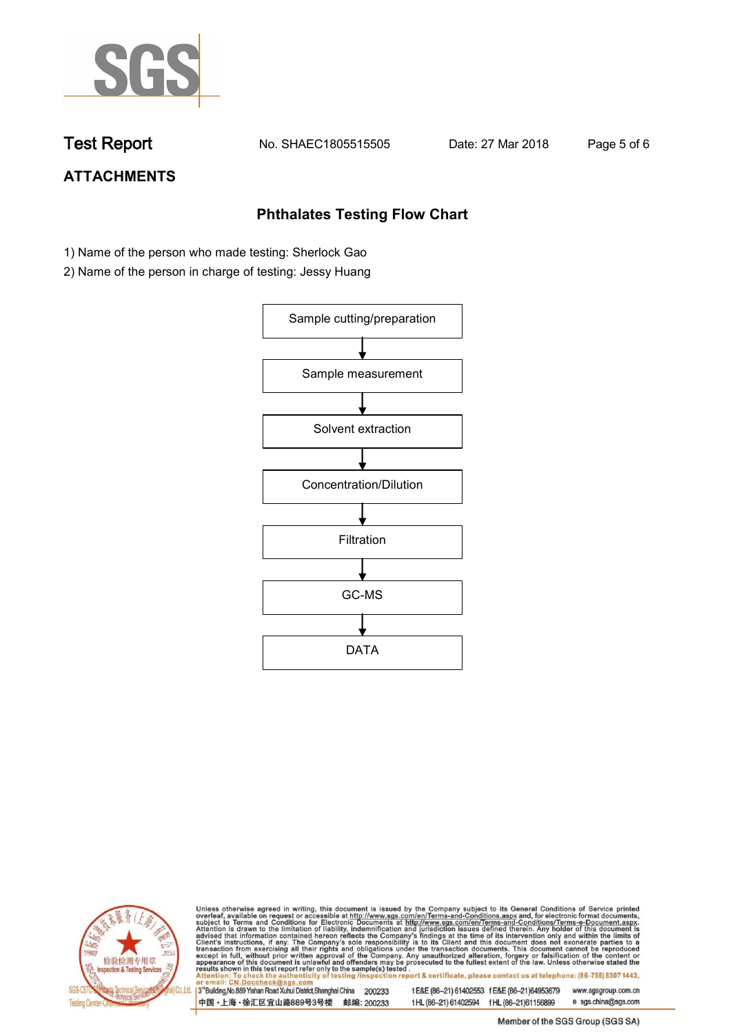

**Test Report. No. SHAEC1805515505 Date: 27 Mar 2018 . Page 5 of 6.**

## **ATTACHMENTS**

## **Phthalates Testing Flow Chart**

- 1) Name of the person who made testing: Sherlock Gao
- 2) Name of the person in charge of testing: Jessy Huang





Unless otherwise agreed in writing, this document is issued by the Company subject to its General Conditions of Service printed overleaf, available on request or accessible at http://www.sgs.com/en/Terms-and-Conditions.asp

3<sup>rd</sup>Building, No.889 Yishan Road Xuhui District, Shanghai China 200233 中国·上海·徐汇区宜山路889号3号楼 邮编: 200233 t E&E (86-21) 61402553 f E&E (86-21)64953679 www.sgsgroup.com.cn t HL (86-21) 61402594 f HL (86-21) 61156899 e sgs.china@sgs.com